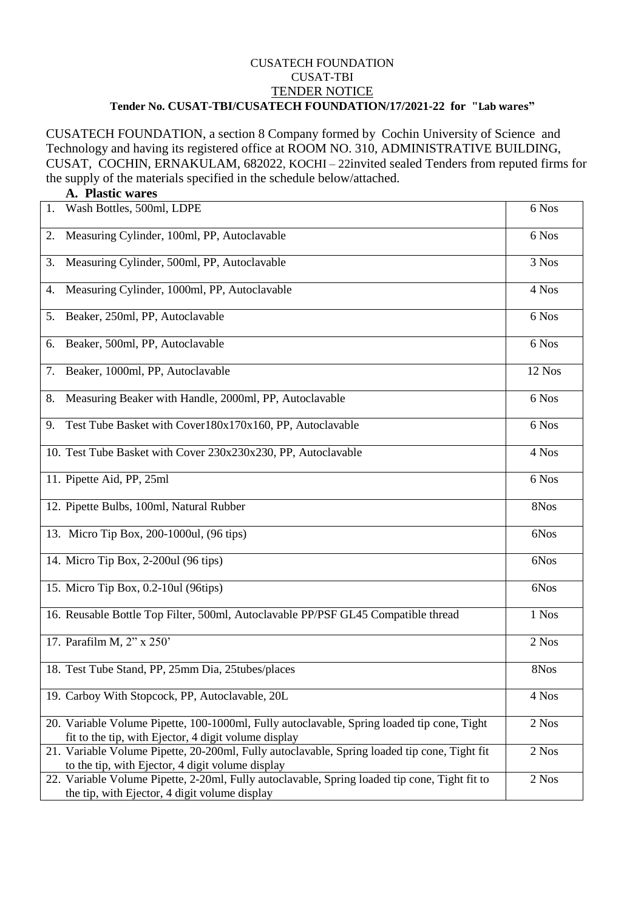## CUSATECH FOUNDATION CUSAT-TBI TENDER NOTICE **Tender No. CUSAT-TBI/CUSATECH FOUNDATION/17/2021-22 for "Lab wares"**

CUSATECH FOUNDATION, a section 8 Company formed by Cochin University of Science and Technology and having its registered office at ROOM NO. 310, ADMINISTRATIVE BUILDING, CUSAT, COCHIN, ERNAKULAM, 682022, KOCHI – 22invited sealed Tenders from reputed firms for the supply of the materials specified in the schedule below/attached.

|    | A. Plastic wares                                                                                                                                   |        |
|----|----------------------------------------------------------------------------------------------------------------------------------------------------|--------|
| 1. | Wash Bottles, 500ml, LDPE                                                                                                                          | 6 Nos  |
| 2. | Measuring Cylinder, 100ml, PP, Autoclavable                                                                                                        | 6 Nos  |
| 3. | Measuring Cylinder, 500ml, PP, Autoclavable                                                                                                        | 3 Nos  |
| 4. | Measuring Cylinder, 1000ml, PP, Autoclavable                                                                                                       | 4 Nos  |
| 5. | Beaker, 250ml, PP, Autoclavable                                                                                                                    | 6 Nos  |
| 6. | Beaker, 500ml, PP, Autoclavable                                                                                                                    | 6 Nos  |
| 7. | Beaker, 1000ml, PP, Autoclavable                                                                                                                   | 12 Nos |
| 8. | Measuring Beaker with Handle, 2000ml, PP, Autoclavable                                                                                             | 6 Nos  |
| 9. | Test Tube Basket with Cover180x170x160, PP, Autoclavable                                                                                           | 6 Nos  |
|    | 10. Test Tube Basket with Cover 230x230x230, PP, Autoclavable                                                                                      | 4 Nos  |
|    | 11. Pipette Aid, PP, 25ml                                                                                                                          | 6 Nos  |
|    | 12. Pipette Bulbs, 100ml, Natural Rubber                                                                                                           | 8Nos   |
|    | 13. Micro Tip Box, 200-1000ul, (96 tips)                                                                                                           | 6Nos   |
|    | 14. Micro Tip Box, 2-200ul (96 tips)                                                                                                               | 6Nos   |
|    | 15. Micro Tip Box, 0.2-10ul (96tips)                                                                                                               | 6Nos   |
|    | 16. Reusable Bottle Top Filter, 500ml, Autoclavable PP/PSF GL45 Compatible thread                                                                  | 1 Nos  |
|    | 17. Parafilm M, 2" x 250'                                                                                                                          | 2 Nos  |
|    | 18. Test Tube Stand, PP, 25mm Dia, 25tubes/places                                                                                                  | 8Nos   |
|    | 19. Carboy With Stopcock, PP, Autoclavable, 20L                                                                                                    | 4 Nos  |
|    | 20. Variable Volume Pipette, 100-1000ml, Fully autoclavable, Spring loaded tip cone, Tight<br>fit to the tip, with Ejector, 4 digit volume display | 2 Nos  |
|    | 21. Variable Volume Pipette, 20-200ml, Fully autoclavable, Spring loaded tip cone, Tight fit<br>to the tip, with Ejector, 4 digit volume display   | 2 Nos  |
|    | 22. Variable Volume Pipette, 2-20ml, Fully autoclavable, Spring loaded tip cone, Tight fit to<br>the tip, with Ejector, 4 digit volume display     | 2 Nos  |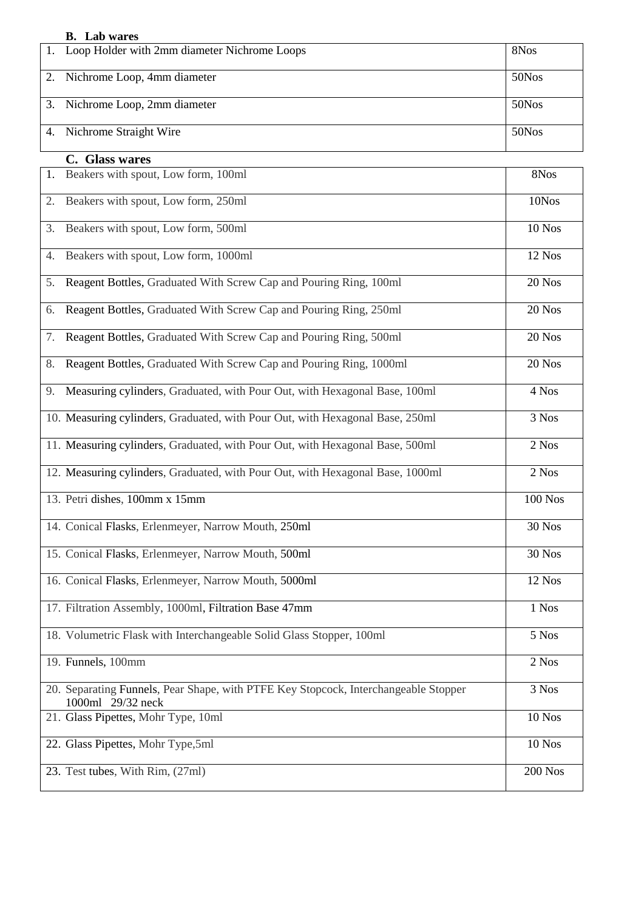| <b>B.</b> Lab wares |  |
|---------------------|--|
|---------------------|--|

| 1. Loop Holder with 2mm diameter Nichrome Loops | 8N <sub>os</sub> |
|-------------------------------------------------|------------------|
| 2. Nichrome Loop, 4mm diameter                  | 50Nos            |
| 3. Nichrome Loop, 2mm diameter                  | 50Nos            |
| 4. Nichrome Straight Wire                       | 50Nos            |

## **C. Glass wares**

| 1. Beakers with spout, Low form, 100ml                                                                   | 8Nos           |
|----------------------------------------------------------------------------------------------------------|----------------|
| Beakers with spout, Low form, 250ml<br>2.                                                                | 10Nos          |
| Beakers with spout, Low form, 500ml<br>3.                                                                | 10 Nos         |
| Beakers with spout, Low form, 1000ml<br>4.                                                               | 12 Nos         |
| Reagent Bottles, Graduated With Screw Cap and Pouring Ring, 100ml<br>5.                                  | 20 Nos         |
| Reagent Bottles, Graduated With Screw Cap and Pouring Ring, 250ml<br>6.                                  | 20 Nos         |
| Reagent Bottles, Graduated With Screw Cap and Pouring Ring, 500ml<br>7.                                  | 20 Nos         |
| Reagent Bottles, Graduated With Screw Cap and Pouring Ring, 1000ml<br>8.                                 | 20 Nos         |
| Measuring cylinders, Graduated, with Pour Out, with Hexagonal Base, 100ml<br>9.                          | 4 Nos          |
| 10. Measuring cylinders, Graduated, with Pour Out, with Hexagonal Base, 250ml                            | 3 Nos          |
| 11. Measuring cylinders, Graduated, with Pour Out, with Hexagonal Base, 500ml                            | 2 Nos          |
| 12. Measuring cylinders, Graduated, with Pour Out, with Hexagonal Base, 1000ml                           | 2 Nos          |
| 13. Petri dishes, 100mm x 15mm                                                                           | <b>100 Nos</b> |
| 14. Conical Flasks, Erlenmeyer, Narrow Mouth, 250ml                                                      | <b>30 Nos</b>  |
| 15. Conical Flasks, Erlenmeyer, Narrow Mouth, 500ml                                                      | <b>30 Nos</b>  |
| 16. Conical Flasks, Erlenmeyer, Narrow Mouth, 5000ml                                                     | 12 Nos         |
| 17. Filtration Assembly, 1000ml, Filtration Base 47mm                                                    | 1 Nos          |
| 18. Volumetric Flask with Interchangeable Solid Glass Stopper, 100ml                                     | 5 Nos          |
| 19. Funnels, 100mm                                                                                       | 2 Nos          |
| 20. Separating Funnels, Pear Shape, with PTFE Key Stopcock, Interchangeable Stopper<br>1000ml 29/32 neck | 3 Nos          |
| 21. Glass Pipettes, Mohr Type, 10ml                                                                      | 10 Nos         |
| 22. Glass Pipettes, Mohr Type, 5ml                                                                       | 10 Nos         |
| 23. Test tubes, With Rim, (27ml)                                                                         | <b>200 Nos</b> |